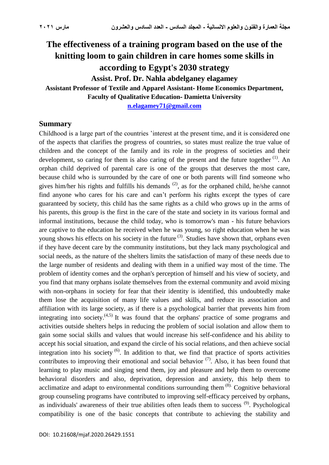# **The effectiveness of a training program based on the use of the knitting loom to gain children in care homes some skills in according to Egypt's 2030 strategy Assist. Prof. Dr. Nahla abdelganey elagamey Assistant Professor of Textile and Apparel Assistant- Home Economics Department,**

**Faculty of Qualitative Education- Damietta University**

**[n.elagamey71@gmail.com](mailto:n.elagamey71@gmail.com)**

#### **Summary**

Childhood is a large part of the countries 'interest at the present time, and it is considered one of the aspects that clarifies the progress of countries, so states must realize the true value of children and the concept of the family and its role in the progress of societies and their development, so caring for them is also caring of the present and the future together  $(1)$ . An orphan child deprived of parental care is one of the groups that deserves the most care, because child who is surrounded by the care of one or both parents will find someone who gives him/her his rights and fulfills his demands  $(2)$ , as for the orphaned child, he/she cannot find anyone who cares for his care and can't perform his rights except the types of care guaranteed by society, this child has the same rights as a child who grows up in the arms of his parents, this group is the first in the care of the state and society in its various formal and informal institutions, because the child today, who is tomorrow's man - his future behaviors are captive to the education he received when he was young, so right education when he was young shows his effects on his society in the future <sup>(3)</sup>. Studies have shown that, orphans even if they have decent care by the community institutions, but they lack many psychological and social needs, as the nature of the shelters limits the satisfaction of many of these needs due to the large number of residents and dealing with them in a unified way most of the time. The problem of identity comes and the orphan's perception of himself and his view of society, and you find that many orphans isolate themselves from the external community and avoid mixing with non-orphans in society for fear that their identity is identified, this undoubtedly make them lose the acquisition of many life values and skills, and reduce its association and affiliation with its large society, as if there is a psychological barrier that prevents him from integrating into society. $(4,5)$  It was found that the orphans' practice of some programs and activities outside shelters helps in reducing the problem of social isolation and allow them to gain some social skills and values that would increase his self-confidence and his ability to accept his social situation, and expand the circle of his social relations, and then achieve social integration into his society  $(6)$ . In addition to that, we find that practice of sports activities contributes to improving their emotional and social behavior  $(7)$ . Also, it has been found that learning to play music and singing send them, joy and pleasure and help them to overcome behavioral disorders and also, deprivation, depression and anxiety, this help them to acclimatize and adapt to environmental conditions surrounding them  $(8)$ . Cognitive behavioral group counseling programs have contributed to improving self-efficacy perceived by orphans, as individuals' awareness of their true abilities often leads them to success <sup>(9)</sup>. Psychological compatibility is one of the basic concepts that contribute to achieving the stability and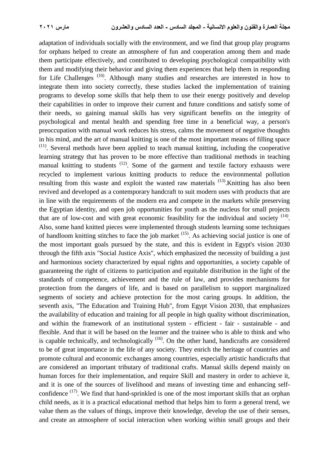adaptation of individuals socially with the environment, and we find that group play programs for orphans helped to create an atmosphere of fun and cooperation among them and made them participate effectively, and contributed to developing psychological compatibility with them and modifying their behavior and giving them experiences that help them in responding for Life Challenges<sup>(10)</sup>. Although many studies and researches are interested in how to integrate them into society correctly, these studies lacked the implementation of training programs to develop some skills that help them to use their energy positively and develop their capabilities in order to improve their current and future conditions and satisfy some of their needs, so gaining manual skills has very significant benefits on the integrity of psychological and mental health and spending free time in a beneficial way, a person's preoccupation with manual work reduces his stress, calms the movement of negative thoughts in his mind, and the art of manual knitting is one of the most important means of filling space  $(11)$ . Several methods have been applied to teach manual knitting, including the cooperative learning strategy that has proven to be more effective than traditional methods in teaching manual knitting to students  $(12)$ . Some of the garment and textile factory exhausts were recycled to implement various knitting products to reduce the environmental pollution resulting from this waste and exploit the wasted raw materials <sup>(13)</sup>. Knitting has also been revived and developed as a contemporary handcraft to suit modern uses with products that are in line with the requirements of the modern era and compete in the markets while preserving the Egyptian identity, and open job opportunities for youth as the nucleus for small projects that are of low-cost and with great economic feasibility for the individual and society  $(14)$ . Also, some hand knitted pieces were implemented through students learning some techniques of handloom knitting stitches to face the job market  $(15)$ . As achieving social justice is one of the most important goals pursued by the state, and this is evident in Egypt's vision 2030 through the fifth axis "Social Justice Axis", which emphasized the necessity of building a just and harmonious society characterized by equal rights and opportunities, a society capable of guaranteeing the right of citizens to participation and equitable distribution in the light of the standards of competence, achievement and the rule of law, and provides mechanisms for protection from the dangers of life, and is based on parallelism to support marginalized segments of society and achieve protection for the most caring groups. In addition, the seventh axis, "The Education and Training Hub", from Egypt Vision 2030, that emphasizes the availability of education and training for all people in high quality without discrimination, and within the framework of an institutional system - efficient - fair - sustainable - and flexible. And that it will be based on the learner and the trainee who is able to think and who is capable technically, and technologically  $(16)$ . On the other hand, handicrafts are considered to be of great importance in the life of any society. They enrich the heritage of countries and promote cultural and economic exchanges among countries, especially artistic handicrafts that are considered an important tributary of traditional crafts. Manual skills depend mainly on human forces for their implementation, and require Skill and mastery in order to achieve it, and it is one of the sources of livelihood and means of investing time and enhancing selfconfidence  $(17)$ . We find that hand-sprinkled is one of the most important skills that an orphan child needs, as it is a practical educational method that helps him to form a general trend, we value them as the values of things, improve their knowledge, develop the use of their senses, and create an atmosphere of social interaction when working within small groups and their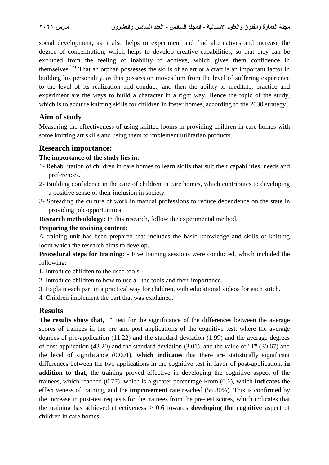social development, as it also helps to experiment and find alternatives and increase the degree of concentration, which helps to develop creative capabilities, so that they can be excluded from the feeling of inability to achieve, which gives them confidence in themselves<sup> $(1)$ </sup>. That an orphan possesses the skills of an art or a craft is an important factor in building his personality, as this possession moves him from the level of suffering experience to the level of its realization and conduct, and then the ability to meditate, practice and experiment are the ways to build a character in a right way. Hence the topic of the study, which is to acquire knitting skills for children in foster homes, according to the 2030 strategy.

# **Aim of study**

Measuring the effectiveness of using knitted looms in providing children in care homes with some knitting art skills and using them to implement utilitarian products.

# **Research importance:**

### **The importance of the study lies in:**

- 1- Rehabilitation of children in care homes to learn skills that suit their capabilities, needs and preferences.
- 2- Building confidence in the care of children in care homes, which contributes to developing a positive sense of their inclusion in society.
- 3- Spreading the culture of work in manual professions to reduce dependence on the state in providing job opportunities.

**Research methodology:** In this research, follow the experimental method.

### **Preparing the training content:**

A training unit has been prepared that includes the basic knowledge and skills of knitting loom which the research aims to develop.

**Procedural steps for training: -** Five training sessions were conducted, which included the following:

- **1.** Introduce children to the used tools.
- 2. Introduce children to how to use all the tools and their importance.
- 3. Explain each part in a practical way for children, with educational videos for each stitch.
- 4. Children implement the part that was explained.

# **Results**

**The results show that**, T" test for the significance of the differences between the average scores of trainees in the pre and post applications of the cognitive test, where the average degrees of pre-application (11.22) and the standard deviation (1.99) and the average degrees of post-application (43.20) and the standard deviation (3.01), and the value of "T" (30.67) and the level of significance (0.001), **which indicates** that there are statistically significant differences between the two applications in the cognitive test in favor of post-application, **in addition to that,** the training proved effective in developing the cognitive aspect of the trainees, which reached (0.77), which is a greater percentage From (0.6), which **indicates** the effectiveness of training, and the **improvement** rate reached (56.80%). This is confirmed by the increase in post-test requests for the trainees from the pre-test scores, which indicates that the training has achieved effectiveness ≥ 0.6 towards **developing the cognitive** aspect of children in care homes.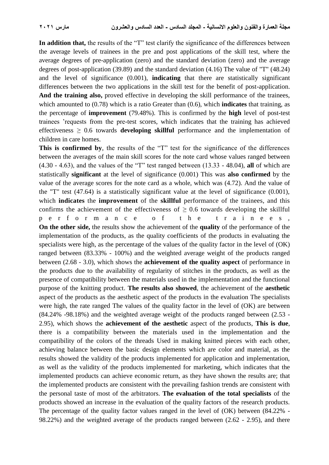**In addition that,** the results of the "T" test clarify the significance of the differences between the average levels of trainees in the pre and post applications of the skill test, where the average degrees of pre-application (zero) and the standard deviation (zero) and the average degrees of post-application (39.89) and the standard deviation (4.16) The value of "T" (48.24) and the level of significance (0.001), **indicating** that there are statistically significant differences between the two applications in the skill test for the benefit of post-application. **And the training also,** proved effective in developing the skill performance of the trainees, which amounted to (0.78) which is a ratio Greater than (0.6), which **indicates** that training, as the percentage of **improvement** (79.48%). This is confirmed by the **high** level of post-test trainees 'requests from the pre-test scores, which indicates that the training has achieved effectiveness ≥ 0.6 towards **developing skillful** performance and the implementation of children in care homes.

**This is confirmed by**, the results of the "T" test for the significance of the differences between the averages of the main skill scores for the note card whose values ranged between (4.30 - 4.63), and the values of the "T" test ranged between (13.33 - 48.04), **all** of which are statistically **significant** at the level of significance (0.001) This was **also confirmed** by the value of the average scores for the note card as a whole, which was (4.72). And the value of the "T" test (47.64) is a statistically significant value at the level of significance (0.001), which **indicates** the **improvement** of the **skillful** performance of the trainees, and this confirms the achievement of the effectiveness of  $> 0.6$  towards developing the skillful p e r f o r m a n c e o f t h e t r a i n e e s , **On the other side,** the results show the achievement of the **quality** of the performance of the implementation of the products, as the quality coefficients of the products in evaluating the specialists were high, as the percentage of the values of the quality factor in the level of (OK) ranged between (83.33% - 100%) and the weighted average weight of the products ranged between (2.68 - 3.0), which shows the **achievement of the quality aspect** of performance in the products due to the availability of regularity of stitches in the products, as well as the presence of compatibility between the materials used in the implementation and the functional purpose of the knitting product. **The results also showed**, the achievement of the **aesthetic** aspect of the products as the aesthetic aspect of the products in the evaluation The specialists were high, the rate ranged The values of the quality factor in the level of (OK) are between (84.24% -98.18%) and the weighted average weight of the products ranged between (2.53 - 2.95), which shows the **achievement of the aesthetic** aspect of the products, **This is due**, there is a compatibility between the materials used in the implementation and the compatibility of the colors of the threads Used in making knitted pieces with each other, achieving balance between the basic design elements which are color and material, as the results showed the validity of the products implemented for application and implementation, as well as the validity of the products implemented for marketing, which indicates that the implemented products can achieve economic return, as they have shown the results are; that the implemented products are consistent with the prevailing fashion trends are consistent with the personal taste of most of the arbitrators. **The evaluation of the total specialists** of the products showed an increase in the evaluation of the quality factors of the research products. The percentage of the quality factor values ranged in the level of (OK) between (84.22% - 98.22%) and the weighted average of the products ranged between (2.62 - 2.95), and there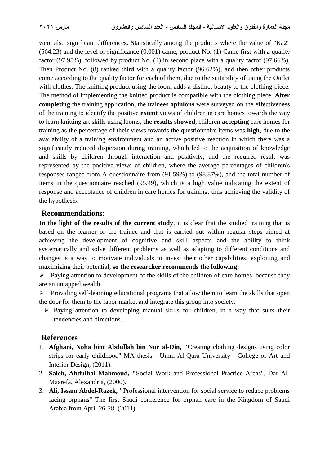were also significant differences. Statistically among the products where the value of "Ka2" (564.23) and the level of significance (0.001) came, product No. (1) Came first with a quality factor (97.95%), followed by product No. (4) in second place with a quality factor (97.66%), Then Product No. (8) ranked third with a quality factor (96.62%), and then other products come according to the quality factor for each of them, due to the suitability of using the Outlet with clothes. The knitting product using the loom adds a distinct beauty to the clothing piece. The method of implementing the knitted product is compatible with the clothing piece. **After completing** the training application, the trainees **opinions** were surveyed on the effectiveness of the training to identify the positive **extent** views of children in care homes towards the way to learn knitting art skills using looms, **the results showed**, children **accepting** care homes for training as the percentage of their views towards the questionnaire items was **high**, due to the availability of a training environment and an active positive reaction in which there was a significantly reduced dispersion during training, which led to the acquisition of knowledge and skills by children through interaction and positivity, and the required result was represented by the positive views of children, where the average percentages of children's responses ranged from A questionnaire from (91.59%) to (98.87%), and the total number of items in the questionnaire reached (95.49), which is a high value indicating the extent of response and acceptance of children in care homes for training, thus achieving the validity of the hypothesis.

### **Recommendations**:

**In the light of the results of the current study**, it is clear that the studied training that is based on the learner or the trainee and that is carried out within regular steps aimed at achieving the development of cognitive and skill aspects and the ability to think systematically and solve different problems as well as adapting to different conditions and changes is a way to motivate individuals to invest their other capabilities, exploiting and maximizing their potential, **so the researcher recommends the following:**

 $\triangleright$  Paying attention to development of the skills of the children of care homes, because they are an untapped wealth.

 $\triangleright$  Providing self-learning educational programs that allow them to learn the skills that open the door for them to the labor market and integrate this group into society.

 $\triangleright$  Paying attention to developing manual skills for children, in a way that suits their tendencies and directions.

# **References**

- 1. **Afghani, Noha bint Abdullah bin Nur al-Din, "**Creating clothing designs using color strips for early childhood" MA thesis - Umm Al-Qura University - College of Art and Interior Design, (2011).
- 2. **Saleh, Abdulhai Mahmoud, "**Social Work and Professional Practice Areas", Dar Al-Maarefa, Alexandria, (2000).
- 3. **Ali, Issam Abdel-Razek, "**Professional intervention for social service to reduce problems facing orphans" The first Saudi conference for orphan care in the Kingdom of Saudi Arabia from April 26-28, (2011).